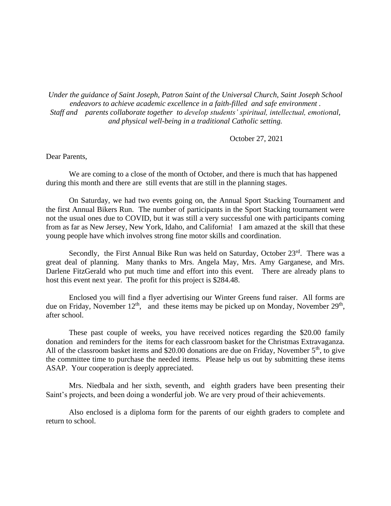*Under the guidance of Saint Joseph, Patron Saint of the Universal Church, Saint Joseph School endeavors to achieve academic excellence in a faith-filled and safe environment . Staff and parents collaborate together to develop students' spiritual, intellectual, emotional, and physical well-being in a traditional Catholic setting.*

October 27, 2021

## Dear Parents,

We are coming to a close of the month of October, and there is much that has happened during this month and there are still events that are still in the planning stages.

On Saturday, we had two events going on, the Annual Sport Stacking Tournament and the first Annual Bikers Run. The number of participants in the Sport Stacking tournament were not the usual ones due to COVID, but it was still a very successful one with participants coming from as far as New Jersey, New York, Idaho, and California! I am amazed at the skill that these young people have which involves strong fine motor skills and coordination.

Secondly, the First Annual Bike Run was held on Saturday, October 23rd. There was a great deal of planning. Many thanks to Mrs. Angela May, Mrs. Amy Garganese, and Mrs. Darlene FitzGerald who put much time and effort into this event. There are already plans to host this event next year. The profit for this project is \$284.48.

Enclosed you will find a flyer advertising our Winter Greens fund raiser. All forms are due on Friday, November  $12<sup>th</sup>$ , and these items may be picked up on Monday, November  $29<sup>th</sup>$ , after school.

These past couple of weeks, you have received notices regarding the \$20.00 family donation and reminders for the items for each classroom basket for the Christmas Extravaganza. All of the classroom basket items and \$20.00 donations are due on Friday, November  $5<sup>th</sup>$ , to give the committee time to purchase the needed items. Please help us out by submitting these items ASAP. Your cooperation is deeply appreciated.

Mrs. Niedbala and her sixth, seventh, and eighth graders have been presenting their Saint's projects, and been doing a wonderful job. We are very proud of their achievements.

Also enclosed is a diploma form for the parents of our eighth graders to complete and return to school.